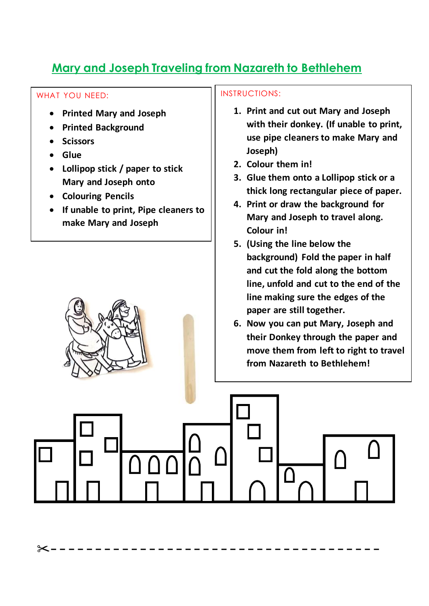## **Mary and Joseph Traveling from Nazareth to Bethlehem**

## WHAT YOU NEED:

- **Printed Mary and Joseph**
- **Printed Background**
- **Scissors**
- **Glue**
- **Lollipop stick / paper to stick Mary and Joseph onto**
- **Colouring Pencils**
- **If unable to print, Pipe cleaners to make Mary and Joseph**



## INSTRUCTIONS:

- **1. Print and cut out Mary and Joseph with their donkey. (If unable to print, use pipe cleaners to make Mary and Joseph)**
- **2. Colour them in!**
- **3. Glue them onto a Lollipop stick or a thick long rectangular piece of paper.**
- **4. Print or draw the background for Mary and Joseph to travel along. Colour in!**
- **5. (Using the line below the background) Fold the paper in half and cut the fold along the bottom line, unfold and cut to the end of the line making sure the edges of the paper are still together.**
- **6. Now you can put Mary, Joseph and their Donkey through the paper and move them from left to right to travel from Nazareth to Bethlehem!**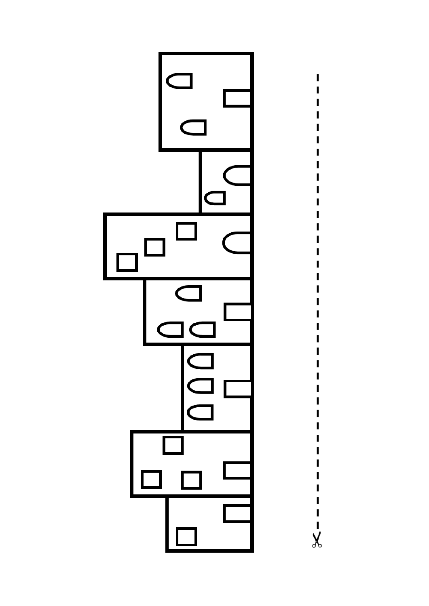

I I

ı I

 $\frac{1}{x}$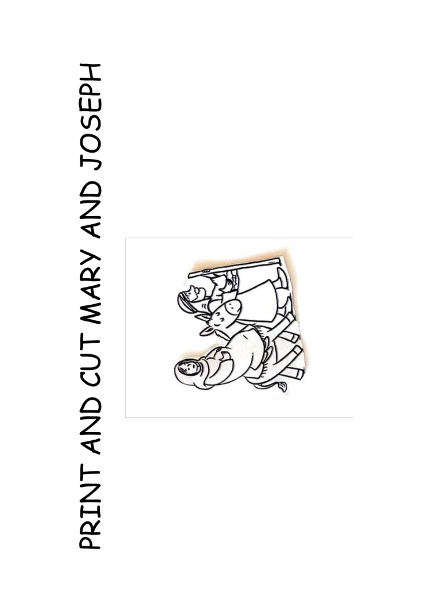## PRINT AND CUT MARY AND JOSEPH

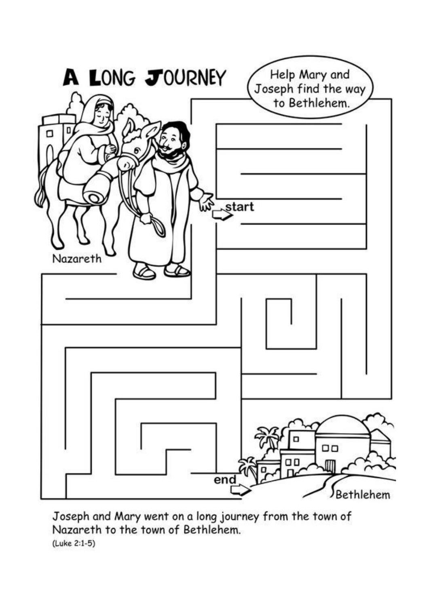

Joseph and Mary went on a long journey from the town of Nazareth to the town of Bethlehem. (Luke 2:1-5)